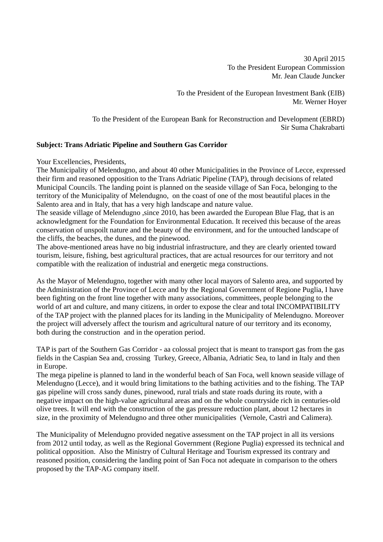30 April 2015 To the President European Commission Mr. Jean Claude Juncker

To the President of the European Investment Bank (EIB) Mr. Werner Hoyer

To the President of the European Bank for Reconstruction and Development (EBRD) Sir Suma Chakrabarti

## **Subject: Trans Adriatic Pipeline and Southern Gas Corridor**

Your Excellencies, Presidents,

The Municipality of Melendugno, and about 40 other Municipalities in the Province of Lecce, expressed their firm and reasoned opposition to the Trans Adriatic Pipeline (TAP), through decisions of related Municipal Councils. The landing point is planned on the seaside village of San Foca, belonging to the territory of the Municipality of Melendugno, on the coast of one of the most beautiful places in the Salento area and in Italy, that has a very high landscape and nature value.

The seaside village of Melendugno ,since 2010, has been awarded the European Blue Flag, that is an acknowledgment for the Foundation for Environmental Education. It received this because of the areas conservation of unspoilt nature and the beauty of the environment, and for the untouched landscape of the cliffs, the beaches, the dunes, and the pinewood.

The above-mentioned areas have no big industrial infrastructure, and they are clearly oriented toward tourism, leisure, fishing, best agricultural practices, that are actual resources for our territory and not compatible with the realization of industrial and energetic mega constructions.

As the Mayor of Melendugno, together with many other local mayors of Salento area, and supported by the Administration of the Province of Lecce and by the Regional Government of Regione Puglia, I have been fighting on the front line together with many associations, committees, people belonging to the world of art and culture, and many citizens, in order to expose the clear and total INCOMPATIBILITY of the TAP project with the planned places for its landing in the Municipality of Melendugno. Moreover the project will adversely affect the tourism and agricultural nature of our territory and its economy, both during the construction and in the operation period.

TAP is part of the Southern Gas Corridor - aa colossal project that is meant to transport gas from the gas fields in the Caspian Sea and, crossing Turkey, Greece, Albania, Adriatic Sea, to land in Italy and then in Europe.

The mega pipeline is planned to land in the wonderful beach of San Foca, well known seaside village of Melendugno (Lecce), and it would bring limitations to the bathing activities and to the fishing. The TAP gas pipeline will cross sandy dunes, pinewood, rural trials and state roads during its route, with a negative impact on the high-value agricultural areas and on the whole countryside rich in centuries-old olive trees. It will end with the construction of the gas pressure reduction plant, about 12 hectares in size, in the proximity of Melendugno and three other municipalities (Vernole, Castrì and Calimera).

The Municipality of Melendugno provided negative assessment on the TAP project in all its versions from 2012 until today, as well as the Regional Government (Regione Puglia) expressed its technical and political opposition. Also the Ministry of Cultural Heritage and Tourism expressed its contrary and reasoned position, considering the landing point of San Foca not adequate in comparison to the others proposed by the TAP-AG company itself.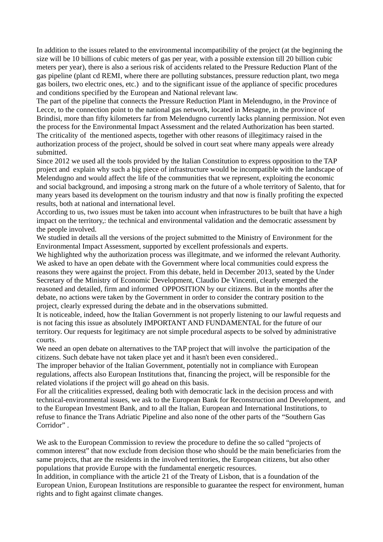In addition to the issues related to the environmental incompatibility of the project (at the beginning the size will be 10 billions of cubic meters of gas per year, with a possible extension till 20 billion cubic meters per year), there is also a serious risk of accidents related to the Pressure Reduction Plant of the gas pipeline (plant cd REMI, where there are polluting substances, pressure reduction plant, two mega gas boilers, two electric ones, etc.) and to the significant issue of the appliance of specific procedures and conditions specified by the European and National relevant law.

The part of the pipeline that connects the Pressure Reduction Plant in Melendugno, in the Province of Lecce, to the connection point to the national gas network, located in Mesagne, in the province of Brindisi, more than fifty kilometers far from Melendugno currently lacks planning permission. Not even the process for the Environmental Impact Assessment and the related Authorization has been started. The criticality of the mentioned aspects, together with other reasons of illegitimacy raised in the authorization process of the project, should be solved in court seat where many appeals were already submitted.

Since 2012 we used all the tools provided by the Italian Constitution to express opposition to the TAP project and explain why such a big piece of infrastructure would be incompatible with the landscape of Melendugno and would affect the life of the communities that we represent, exploiting the economic and social background, and imposing a strong mark on the future of a whole territory of Salento, that for many years based its development on the tourism industry and that now is finally profiting the expected results, both at national and international level.

According to us, two issues must be taken into account when infrastructures to be built that have a high impact on the territory,: the technical and environmental validation and the democratic assessment by the people involved.

We studied in details all the versions of the project submitted to the Ministry of Environment for the Environmental Impact Assessment, supported by excellent professionals and experts.

We highlighted why the authorization process was illegitmate, and we informed the relevant Authority. We asked to have an open debate with the Government where local communities could express the reasons they were against the project. From this debate, held in December 2013, seated by the Under Secretary of the Ministry of Economic Development, Claudio De Vincenti, clearly emerged the reasoned and detailed, firm and informed OPPOSITION by our citizens. But in the months after the debate, no actions were taken by the Government in order to consider the contrary position to the project, clearly expressed during the debate and in the observations submitted.

It is noticeable, indeed, how the Italian Government is not properly listening to our lawful requests and is not facing this issue as absolutely IMPORTANT AND FUNDAMENTAL for the future of our territory. Our requests for legitimacy are not simple procedural aspects to be solved by administrative courts.

We need an open debate on alternatives to the TAP project that will involve the participation of the citizens. Such debate have not taken place yet and it hasn't been even considered..

The improper behavior of the Italian Government, potentially not in compliance with European regulations, affects also European Institutions that, financing the project, will be responsible for the related violations if the project will go ahead on this basis.

For all the criticalities expressed, dealing both with democratic lack in the decision process and with technical-environmental issues, we ask to the European Bank for Reconstruction and Development, and to the European Investment Bank, and to all the Italian, European and International Institutions, to refuse to finance the Trans Adriatic Pipeline and also none of the other parts of the "Southern Gas Corridor" .

We ask to the European Commission to review the procedure to define the so called "projects of common interest" that now exclude from decision those who should be the main beneficiaries from the same projects, that are the residents in the involved territories, the European citizens, but also other populations that provide Europe with the fundamental energetic resources.

In addition, in compliance with the article 21 of the Treaty of Lisbon, that is a foundation of the European Union, European Institutions are responsible to guarantee the respect for environment, human rights and to fight against climate changes.